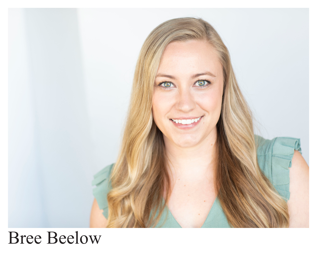

# Bree Beelow